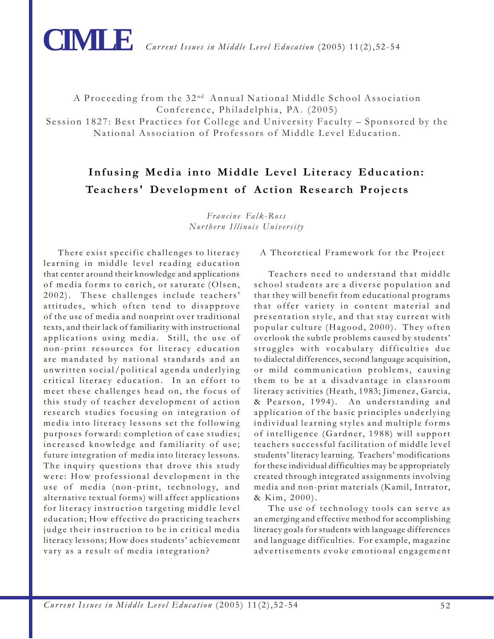

A Proceeding from the 32<sup>nd</sup> Annual National Middle School Association Conference, Philadelphia, PA. (2005)

Session 1827: Best Practices for College and University Faculty – Sponsored by the National Association of Professors of Middle Level Education.

# **Infusing Media into Middle Level Literacy Education: Teachers' Development of Action Research Projects**

*Francine Falk-Ross Northern Illinois University*

There exist specific challenges to literacy learning in middle level reading education that center around their knowledge and applications of media forms to enrich, or saturate (Olsen, 2002). These challenges include teachers' attitudes, which often tend to disapprove of the use of media and nonprint over traditional texts, and their lack of familiarity with instructional applications using media. Still, the use of non-print resources for literacy education are mandated by national standards and an unwritten social/political agenda underlying critical literacy education. In an effort to meet these challenges head on, the focus of this study of teacher development of action research studies focusing on integration of media into literacy lessons set the following purposes forward: completion of case studies; increased knowledge and familiarity of use; future integration of media into literacy lessons. The inquiry questions that drove this study were: How professional development in the use of media (non-print, technology, and alternative textual forms) will affect applications for literacy instruction targeting middle level education; How effective do practicing teachers judge their instruction to be in critical media literacy lessons; How does students' achievement vary as a result of media integration?

### A Theoretical Framework for the Project

Teachers need to understand that middle school students are a diverse population and that they will benefit from educational programs that offer variety in content material and presentation style, and that stay current with popular culture (Hagood, 2000). They often overlook the subtle problems caused by students' struggles with vocabulary difficulties due to dialectal differences, second language acquisition, or mild communication problems, causing them to be at a disadvantage in classroom literacy activities (Heath, 1983; Jimenez, Garcia, & Pearson, 1994). An understanding and application of the basic principles underlying individual learning styles and multiple forms of intelligence (Gardner, 1988) will support teachers successful facilitation of middle level students' literacy learning. Teachers' modifications for these individual difficulties may be appropriately created through integrated assignments involving media and non-print materials (Kamil, Intrator, & Kim, 2000).

The use of technology tools can serve as an emerging and effective method for accomplishing literacy goals for students with language differences and language difficulties. For example, magazine advertisements evoke emotional engagement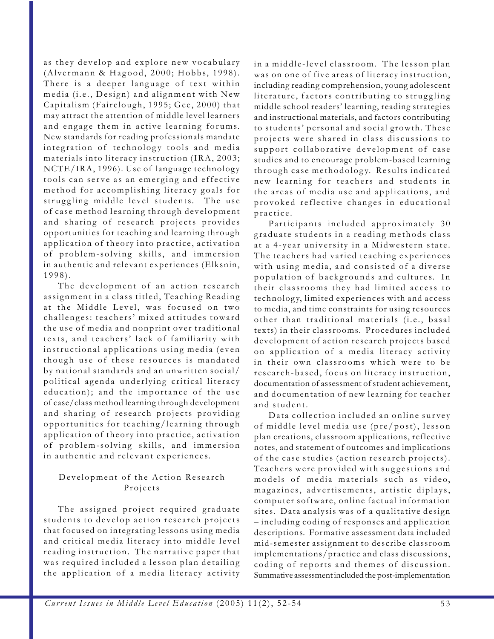as they develop and explore new vocabulary (Alvermann & Hagood, 2000; Hobbs, 1998). There is a deeper language of text within media (i.e., Design) and alignment with New Capitalism (Fairclough, 1995; Gee, 2000) that may attract the attention of middle level learners and engage them in active learning forums. New standards for reading professionals mandate integration of technology tools and media materials into literacy instruction (IRA, 2003; NCTE/IRA, 1996). Use of language technology tools can serve as an emerging and effective method for accomplishing literacy goals for struggling middle level students. The use of case method learning through development and sharing of research projects provides opportunities for teaching and learning through application of theory into practice, activation of problem-solving skills, and immersion in authentic and relevant experiences (Elksnin, 1998).

The development of an action research assignment in a class titled, Teaching Reading at the Middle Level, was focused on two challenges: teachers' mixed attitudes toward the use of media and nonprint over traditional texts, and teachers' lack of familiarity with instructional applications using media (even though use of these resources is mandated by national standards and an unwritten social/ political agenda underlying critical literacy education); and the importance of the use of case/class method learning through development and sharing of research projects providing opportunities for teaching/learning through application of theory into practice, activation of problem-solving skills, and immersion in authentic and relevant experiences.

## Development of the Action Research Projects

The assigned project required graduate students to develop action research projects that focused on integrating lessons using media and critical media literacy into middle level reading instruction. The narrative paper that was required included a lesson plan detailing the application of a media literacy activity

in a middle-level classroom. The lesson plan was on one of five areas of literacy instruction, including reading comprehension, young adolescent literature, factors contributing to struggling middle school readers' learning, reading strategies and instructional materials, and factors contributing to students' personal and social growth. These projects were shared in class discussions to support collaborative development of case studies and to encourage problem-based learning through case methodology. Results indicated new learning for teachers and students in the areas of media use and applications, and provoked reflective changes in educational practice.

Participants included approximately 30 graduate students in a reading methods class at a 4-year university in a Midwestern state. The teachers had varied teaching experiences with using media, and consisted of a diverse population of backgrounds and cultures. In their classrooms they had limited access to technology, limited experiences with and access to media, and time constraints for using resources other than traditional materials (i.e., basal texts) in their classrooms. Procedures included development of action research projects based on application of a media literacy activity in their own classrooms which were to be research-based, focus on literacy instruction, documentation of assessment of student achievement, and documentation of new learning for teacher and student.

Data collection included an online survey of middle level media use (pre/post), lesson plan creations, classroom applications, reflective notes, and statement of outcomes and implications of the case studies (action research projects). Teachers were provided with suggestions and models of media materials such as video, magazines, advertisements, artistic diplays, computer software, online factual information sites. Data analysis was of a qualitative design – including coding of responses and application descriptions. Formative assessment data included mid-semester assignment to describe classroom implementations/practice and class discussions, coding of reports and themes of discussion. Summative assessment included the post-implementation